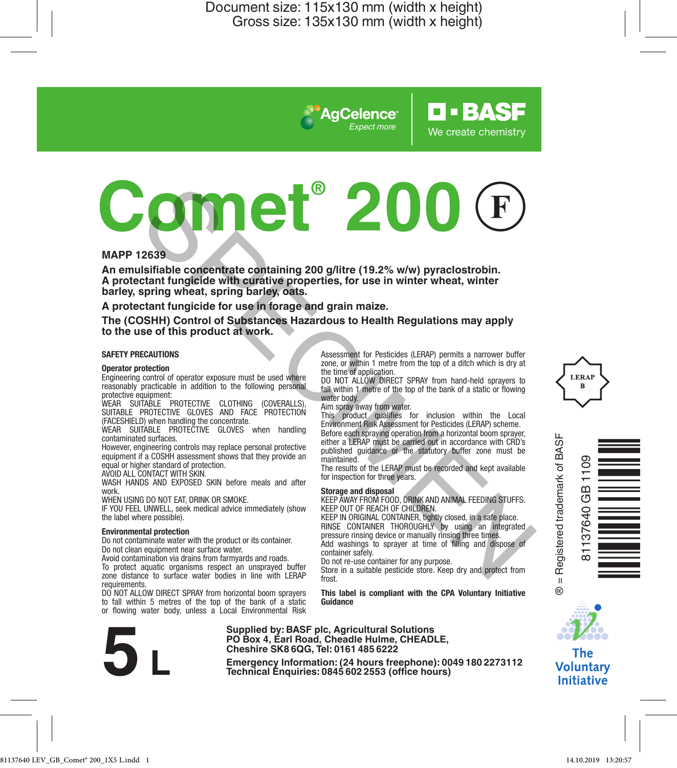*Expect more*

**AgCelence** 

# **Comet® 200** The state of this product with contract and the provide and the state of the state of the state of the state of the state of the state of the state of the state of the state of the state of the state of the state of the st

#### **MAPP 12639**

**An emulsifiable concentrate containing 200 g/litre (19.2% w/w) pyraclostrobin. A protectant fungicide with curative properties, for use in winter wheat, winter barley, spring wheat, spring barley, oats.**

**A protectant fungicide for use in forage and grain maize.**

**The (COSHH) Control of Substances Hazardous to Health Regulations may apply to the use of this product at work.**

#### **SAFETY PRECAUTIONS**

#### **Operator protection**

Engineering control of operator exposure must be used where reasonably practicable in addition to the following personal protective equipment:

WEAR SUITABLE PROTECTIVE CLOTHING (COVERALLS), SUITABLE PROTECTIVE GLOVES AND FACE PROTECTION (FACESHIELD) when handling the concentrate.

WEAR SUITABLE PROTECTIVE GLOVES when handling contaminated surfaces.

However, engineering controls may replace personal protective equipment if a COSHH assessment shows that they provide an equal or higher standard of protection.

AVOID ALL CONTACT WITH SKIN.

WASH HANDS AND EXPOSED SKIN before meals and after work.

WHEN USING DO NOT EAT, DRINK OR SMOKE.

IF YOU FEEL UNWELL, seek medical advice immediately (show the label where possible).

#### **Environmental protection**

Do not contaminate water with the product or its container. Do not clean equipment near surface water.

Avoid contamination via drains from farmyards and roads. To protect aquatic organisms respect an unsprayed buffer

zone distance to surface water bodies in line with LERAP requirements.

DO NOT ALLOW DIRECT SPRAY from horizontal boom sprayers to fall within 5 metres of the top of the bank of a static or flowing water body, unless a Local Environmental Risk



**Supplied by: BASF plc, Agricultural Solutions PO Box 4, Earl Road, Cheadle Hulme, CHEADLE, Cheshire SK8 6QG, Tel: 0161 485 6222**

**Examples by Emergency Information:** (24 **hours freephone**): 0049<br> **Emergency Information:** (24 **hours** freephone): 00491802273112<br> **Emergency Information:** (24 **hours**)<br> **Technical** Enquiries: 0845 602 2553 (office hour

Assessment for Pesticides (LERAP) permits a narrower buffer zone, or within 1 metre from the top of a ditch which is dry at the time of application

**O-BASF** 

We create chemistry

DO NOT ALLOW DIRECT SPRAY from hand-held sprayers to fall within 1 metre of the top of the bank of a static or flowing water body.

Aim spray away from water.

This product qualifies for inclusion within the Local Environment Risk Assessment for Pesticides (LERAP) scheme. Before each spraying operation from a horizontal boom sprayer, either a LERAP must be carried out in accordance with CRD's published guidance or the statutory buffer zone must be maintained.

The results of the LERAP must be recorded and kept available for inspection for three years.

#### **Storage and disposal**

KEEP AWAY FROM FOOD, DRINK AND ANIMAL FEEDING STUFFS. KEEP OUT OF REACH OF CHILDREN.

KEEP IN ORIGINAL CONTAINER, tightly closed, in a safe place. RINSE CONTAINER THOROUGHLY by using an integrated pressure rinsing device or manually rinsing three times Add washings to sprayer at time of filling and dispose of container safely.

Do not re-use container for any purpose.

Store in a suitable pesticide store. Keep dry and protect from frost

**This label is compliant with the CPA Voluntary Initiative Guidance**

Registered trademark of BASF ® = Registered trademark of BASF Ò<br>LINNES<br>Northe  $\mathbf{u}$ e

81137640 GB 1109

GB 37640



The **Voluntary Initiative** 

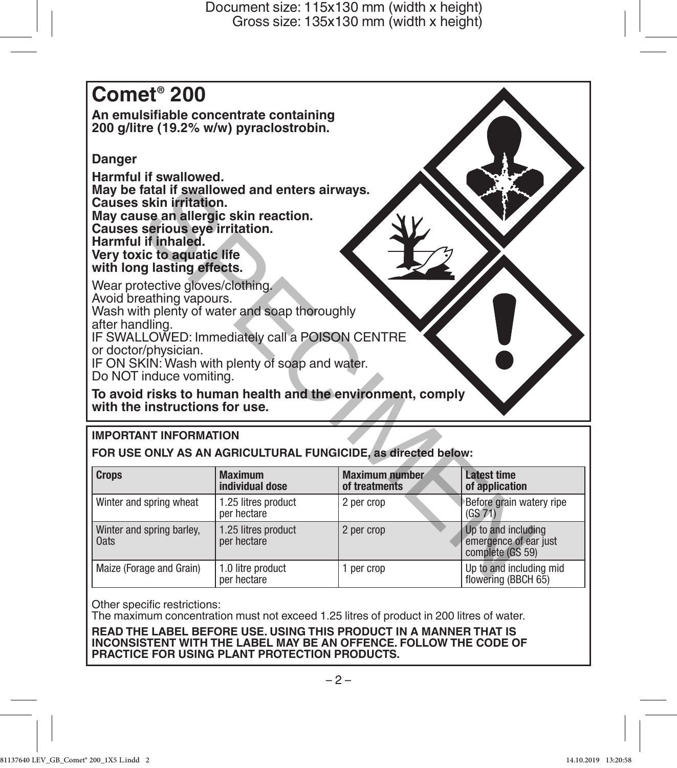# **Comet® 200**

**An emulsifiable concentrate containing 200 g/litre (19.2% w/w) pyraclostrobin.** 

# **Danger**

**Harmful if swallowed. May be fatal if swallowed and enters airways. Causes skin irritation. May cause an allergic skin reaction. Causes serious eye irritation. Harmful if inhaled. Very toxic to aquatic life with long lasting effects.**

# **IMPORTANT INFORMATION**

| Causes skin irritation.<br>May cause an allergic skin reaction.<br>Causes serious eve irritation.<br>Harmful if inhaled.<br>Very toxic to aquatic life<br>with long lasting effects.                                                                                                                                                                                                     | May be fatal if swallowed and enters airways. |                                                               |                                                                  |  |  |  |  |  |
|------------------------------------------------------------------------------------------------------------------------------------------------------------------------------------------------------------------------------------------------------------------------------------------------------------------------------------------------------------------------------------------|-----------------------------------------------|---------------------------------------------------------------|------------------------------------------------------------------|--|--|--|--|--|
| Wear protective gloves/clothing.<br>Avoid breathing vapours.<br>Wash with plenty of water and soap thoroughly<br>after handling.<br>IF SWALLOWED: Immediately call a POISON CENTRE<br>or doctor/physician.<br>IF ON SKIN: Wash with plenty of soap and water.<br>Do NOT induce vomiting.<br>To avoid risks to human health and the environment, comply<br>with the instructions for use. |                                               |                                                               |                                                                  |  |  |  |  |  |
|                                                                                                                                                                                                                                                                                                                                                                                          |                                               |                                                               |                                                                  |  |  |  |  |  |
| <b>IMPORTANT INFORMATION</b>                                                                                                                                                                                                                                                                                                                                                             |                                               | FOR USE ONLY AS AN AGRICULTURAL FUNGICIDE, as directed below: |                                                                  |  |  |  |  |  |
| <b>Crops</b>                                                                                                                                                                                                                                                                                                                                                                             | <b>Maximum</b><br>individual dose             | Maximum number<br>of treatments                               | I atest time<br>of application                                   |  |  |  |  |  |
| Winter and spring wheat                                                                                                                                                                                                                                                                                                                                                                  | 1.25 litres product<br>per hectare            | 2 per crop                                                    | Before grain watery ripe<br>(GS 71)                              |  |  |  |  |  |
| Winter and spring barley,<br><b>Oats</b>                                                                                                                                                                                                                                                                                                                                                 | 1.25 litres product<br>per hectare            | 2 per crop                                                    | Up to and including<br>emergence of ear just<br>complete (GS 59) |  |  |  |  |  |

Other specific restrictions:

The maximum concentration must not exceed 1.25 litres of product in 200 litres of water.

**READ THE LABEL BEFORE USE. USING THIS PRODUCT IN A MANNER THAT IS INCONSISTENT WITH THE LABEL MAY BE AN OFFENCE. FOLLOW THE CODE OF PRACTICE FOR USING PLANT PROTECTION PRODUCTS.**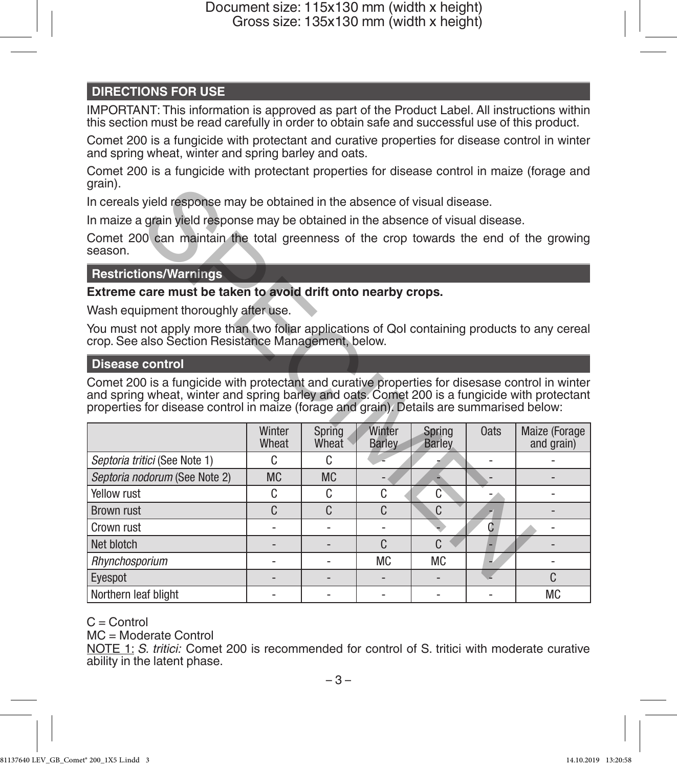# **DIRECTIONS FOR USE**

IMPORTANT: This information is approved as part of the Product Label. All instructions within this section must be read carefully in order to obtain safe and successful use of this product.

Comet 200 is a fungicide with protectant and curative properties for disease control in winter and spring wheat, winter and spring barley and oats.

Comet 200 is a fungicide with protectant properties for disease control in maize (forage and grain).

# **Restrictions/Warnings**

#### **Disease control**

| grain).                                                                                                                                                                                                                                                                                       |                 |                 |                         |                         |      |                             |  |  |  |
|-----------------------------------------------------------------------------------------------------------------------------------------------------------------------------------------------------------------------------------------------------------------------------------------------|-----------------|-----------------|-------------------------|-------------------------|------|-----------------------------|--|--|--|
| In cereals yield response may be obtained in the absence of visual disease.                                                                                                                                                                                                                   |                 |                 |                         |                         |      |                             |  |  |  |
| In maize a grain yield response may be obtained in the absence of visual disease.                                                                                                                                                                                                             |                 |                 |                         |                         |      |                             |  |  |  |
| Comet 200 can maintain the total greenness of the crop towards the end of the growing<br>season.                                                                                                                                                                                              |                 |                 |                         |                         |      |                             |  |  |  |
| <b>Restrictions/Warnings</b>                                                                                                                                                                                                                                                                  |                 |                 |                         |                         |      |                             |  |  |  |
| Extreme care must be taken to avoid drift onto nearby crops.                                                                                                                                                                                                                                  |                 |                 |                         |                         |      |                             |  |  |  |
| Wash equipment thoroughly after use.                                                                                                                                                                                                                                                          |                 |                 |                         |                         |      |                             |  |  |  |
| You must not apply more than two foliar applications of Qol containing products to any cereal<br>crop. See also Section Resistance Management, below.                                                                                                                                         |                 |                 |                         |                         |      |                             |  |  |  |
| <b>Disease control</b>                                                                                                                                                                                                                                                                        |                 |                 |                         |                         |      |                             |  |  |  |
| Comet 200 is a fungicide with protectant and curative properties for disesase control in winter<br>and spring wheat, winter and spring barley and oats. Comet 200 is a fungicide with protectant<br>properties for disease control in maize (forage and grain). Details are summarised below: |                 |                 |                         |                         |      |                             |  |  |  |
|                                                                                                                                                                                                                                                                                               | Winter<br>Wheat | Spring<br>Wheat | Winter<br><b>Barley</b> | Spring<br><b>Barley</b> | 0ats | Maize (Forage<br>and grain) |  |  |  |
| Septoria tritici (See Note 1)                                                                                                                                                                                                                                                                 | C               | C               |                         |                         |      |                             |  |  |  |
| Septoria nodorum (See Note 2)                                                                                                                                                                                                                                                                 | <b>MC</b>       | <b>MC</b>       |                         |                         |      |                             |  |  |  |
| Yellow rust                                                                                                                                                                                                                                                                                   | C               | C.              | C                       | C                       |      |                             |  |  |  |
| <b>Brown rust</b>                                                                                                                                                                                                                                                                             | C               | C.              | C.                      | C                       |      |                             |  |  |  |
| Crown rust                                                                                                                                                                                                                                                                                    |                 |                 |                         |                         | C    |                             |  |  |  |
| Net blotch                                                                                                                                                                                                                                                                                    |                 |                 | C.                      | C                       |      | -                           |  |  |  |
| Rhynchosporium                                                                                                                                                                                                                                                                                |                 |                 | <b>MC</b>               | <b>MC</b>               |      |                             |  |  |  |
| Eyespot                                                                                                                                                                                                                                                                                       |                 |                 |                         |                         |      | C                           |  |  |  |
| Northern leaf blight                                                                                                                                                                                                                                                                          |                 |                 |                         |                         |      | <b>MC</b>                   |  |  |  |

C = Control

MC = Moderate Control

NOTE 1: *S. tritici:* Comet 200 is recommended for control of S. tritici with moderate curative ability in the latent phase.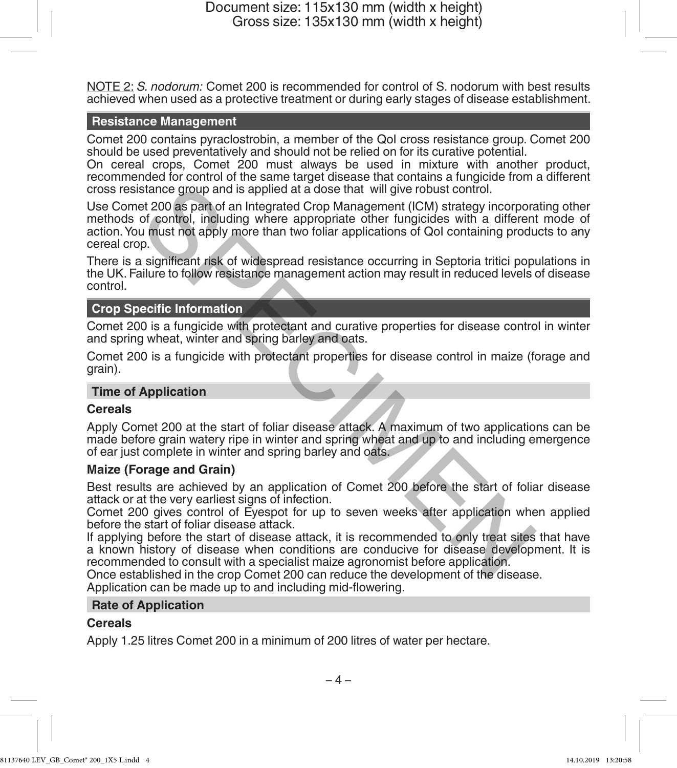NOTE 2: *S. nodorum:* Comet 200 is recommended for control of S. nodorum with best results achieved when used as a protective treatment or during early stages of disease establishment.

#### **Resistance Management**

Comet 200 contains pyraclostrobin, a member of the QoI cross resistance group. Comet 200 should be used preventatively and should not be relied on for its curative potential.

On cereal crops, Comet 200 must always be used in mixture with another product, recommended for control of the same target disease that contains a fungicide from a different cross resistance group and is applied at a dose that will give robust control.

Use Comet 200 as part of an Integrated Crop Management (ICM) strategy incorporating other methods of control, including where appropriate other fungicides with a different mode of action. You must not apply more than two foliar applications of QoI containing products to any cereal crop. stance group and is applied at a dose that will give robust control.<br>
et 200 as part of an Integrated Crop Management (ICM) strategy incorporated of control, including where appropriate other fungicides with a different<br>
u

There is a significant risk of widespread resistance occurring in Septoria tritici populations in the UK. Failure to follow resistance management action may result in reduced levels of disease control.

#### **Crop Specific Information**

Comet 200 is a fungicide with protectant and curative properties for disease control in winter and spring wheat, winter and spring barley and oats.

Comet 200 is a fungicide with protectant properties for disease control in maize (forage and grain).

#### **Time of Application**

#### **Cereals**

Apply Comet 200 at the start of foliar disease attack. A maximum of two applications can be made before grain watery ripe in winter and spring wheat and up to and including emergence of ear just complete in winter and spring barley and oats.

#### **Maize (Forage and Grain)**

Best results are achieved by an application of Comet 200 before the start of foliar disease attack or at the very earliest signs of infection.

Comet 200 gives control of Eyespot for up to seven weeks after application when applied before the start of foliar disease attack.

If applying before the start of disease attack, it is recommended to only treat sites that have a known history of disease when conditions are conducive for disease development. It is recommended to consult with a specialist maize agronomist before application.

Once established in the crop Comet 200 can reduce the development of the disease.

Application can be made up to and including mid-flowering.

#### **Rate of Application**

#### **Cereals**

Apply 1.25 litres Comet 200 in a minimum of 200 litres of water per hectare.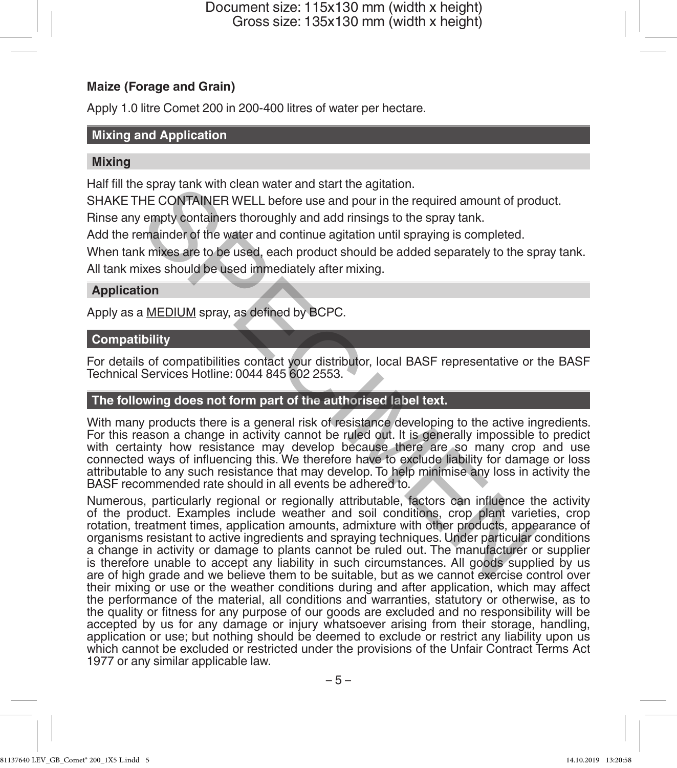### **Maize (Forage and Grain)**

Apply 1.0 litre Comet 200 in 200-400 litres of water per hectare.

#### **Mixing and Application**

#### **Mixing**

Half fill the spray tank with clean water and start the agitation.

SHAKE THE CONTAINER WELL before use and pour in the required amount of product.

Rinse any empty containers thoroughly and add rinsings to the spray tank.

Add the remainder of the water and continue agitation until spraying is completed.

When tank mixes are to be used, each product should be added separately to the spray tank.

All tank mixes should be used immediately after mixing.

#### **Application**

Apply as a MEDIUM spray, as defined by BCPC.

### **Compatibility**

For details of compatibilities contact your distributor, local BASF representative or the BASF Technical Services Hotline: 0044 845 602 2553.

# **The following does not form part of the authorised label text.**

With many products there is a general risk of resistance developing to the active ingredients. For this reason a change in activity cannot be ruled out. It is generally impossible to predict with certainty how resistance may develop because there are so many crop and use connected ways of influencing this. We therefore have to exclude liability for damage or loss attributable to any such resistance that may develop. To help minimise any loss in activity the BASF recommended rate should in all events be adhered to.

Numerous, particularly regional or regionally attributable, factors can influence the activity of the product. Examples include weather and soil conditions, crop plant varieties, crop rotation, treatment times, application amounts, admixture with other products, appearance of organisms resistant to active ingredients and spraying techniques. Under particular conditions a change in activity or damage to plants cannot be ruled out. The manufacturer or supplier is therefore unable to accept any liability in such circumstances. All goods supplied by us are of high grade and we believe them to be suitable, but as we cannot exercise control over their mixing or use or the weather conditions during and after application, which may affect the performance of the material, all conditions and warranties, statutory or otherwise, as to the quality or fitness for any purpose of our goods are excluded and no responsibility will be accepted by us for any damage or injury whatsoever arising from their storage, handling, application or use; but nothing should be deemed to exclude or restrict any liability upon us which cannot be excluded or restricted under the provisions of the Unfair Contract Terms Act 1977 or any similar applicable law. spray tank with clean water and start the agitation.<br>HE CONTAINER WELL before use and pour in the required amount of protomary empty containers thoroughly and add misings to the spray tank.<br>Emainder of the water and contin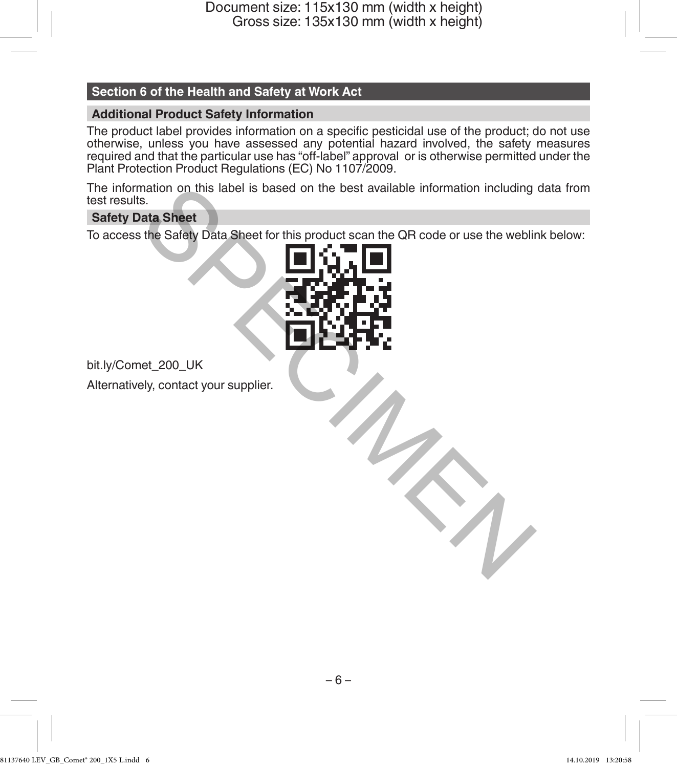# **Section 6 of the Health and Safety at Work Act**

# **Additional Product Safety Information**

The product label provides information on a specific pesticidal use of the product; do not use otherwise, unless you have assessed any potential hazard involved, the safety measures required and that the particular use has "off-label" approval or is otherwise permitted under the Plant Protection Product Regulations (EC) No 1107/2009.

The information on this label is based on the best available information including data from test results.

# **Safety Data Sheet**

To access the Safety Data Sheet for this product scan the QR code or use the weblink below:



bit.ly/Comet\_200\_UK

Alternatively, contact your supplier.